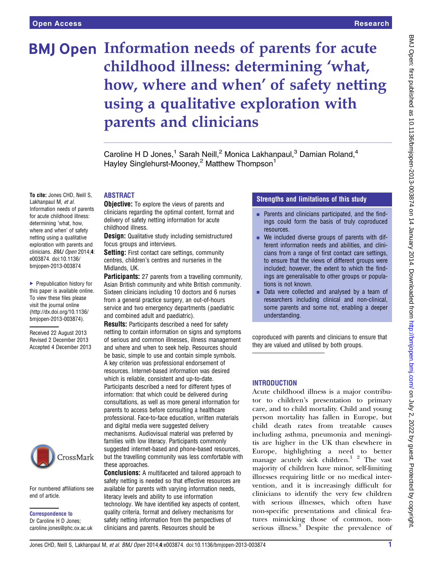# **BMJ Open Information needs of parents for acute** childhood illness: determining 'what, how, where and when' of safety netting using a qualitative exploration with parents and clinicians

Caroline H D Jones,<sup>1</sup> Sarah Neill,<sup>2</sup> Monica Lakhanpaul,<sup>3</sup> Damian Roland,<sup>4</sup> Hayley Singlehurst-Mooney,<sup>2</sup> Matthew Thompson<sup>1</sup>

To cite: Jones CHD, Neill S, Lakhanpaul M, et al. Information needs of parents

for acute childhood illness: determining 'what, how, where and when' of safety netting using a qualitative exploration with parents and clinicians. BMJ Open 2014;4: e003874. doi:10.1136/ bmjopen-2013-003874

▶ Prepublication history for this paper is available online. To view these files please visit the journal online [\(http://dx.doi.org/10.1136/](http://dx.doi.org/10.1136/bmjopen-2013-003874) [bmjopen-2013-003874](http://dx.doi.org/10.1136/bmjopen-2013-003874)).

Received 22 August 2013 Revised 2 December 2013 Accepted 4 December 2013



For numbered affiliations see end of article.

Correspondence to Dr Caroline H D Jones; caroline.jones@phc.ox.ac.uk

### ABSTRACT

**Objective:** To explore the views of parents and clinicians regarding the optimal content, format and delivery of safety netting information for acute childhood illness.

**Design:** Qualitative study including semistructured focus groups and interviews.

**Setting:** First contact care settings, community centres, children's centres and nurseries in the Midlands, UK.

**Participants:** 27 parents from a travelling community, Asian British community and white British community. Sixteen clinicians including 10 doctors and 6 nurses from a general practice surgery, an out-of-hours service and two emergency departments ( paediatric and combined adult and paediatric).

Results: Participants described a need for safety netting to contain information on signs and symptoms of serious and common illnesses, illness management and where and when to seek help. Resources should be basic, simple to use and contain simple symbols. A key criterion was professional endorsement of resources. Internet-based information was desired which is reliable, consistent and up-to-date. Participants described a need for different types of information: that which could be delivered during consultations, as well as more general information for parents to access before consulting a healthcare professional. Face-to-face education, written materials and digital media were suggested delivery mechanisms. Audiovisual material was preferred by families with low literacy. Participants commonly suggested internet-based and phone-based resources, but the travelling community was less comfortable with these approaches.

Conclusions: A multifaceted and tailored approach to safety netting is needed so that effective resources are available for parents with varying information needs, literacy levels and ability to use information technology. We have identified key aspects of content, quality criteria, format and delivery mechanisms for safety netting information from the perspectives of clinicians and parents. Resources should be

#### Strengths and limitations of this study

- Parents and clinicians participated, and the findings could form the basis of truly coproduced resources.
- We included diverse groups of parents with different information needs and abilities, and clinicians from a range of first contact care settings, to ensure that the views of different groups were included; however, the extent to which the findings are generalisable to other groups or populations is not known.
- Data were collected and analysed by a team of researchers including clinical and non-clinical, some parents and some not, enabling a deeper understanding.

coproduced with parents and clinicians to ensure that they are valued and utilised by both groups.

## **INTRODUCTION**

Acute childhood illness is a major contributor to children's presentation to primary care, and to child mortality. Child and young person mortality has fallen in Europe, but child death rates from treatable causes including asthma, pneumonia and meningitis are higher in the UK than elsewhere in Europe, highlighting a need to better manage acutely sick children.<sup>1</sup> <sup>2</sup> The vast majority of children have minor, self-limiting illnesses requiring little or no medical intervention, and it is increasingly difficult for clinicians to identify the very few children with serious illnesses, which often have non-specific presentations and clinical features mimicking those of common, nonserious illness.<sup>3</sup> Despite the prevalence of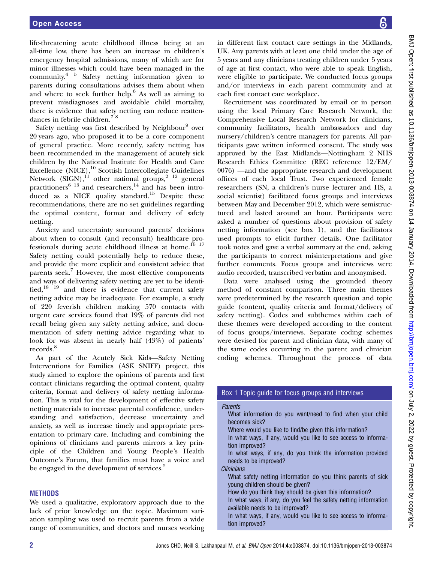life-threatening acute childhood illness being at an all-time low, there has been an increase in children's emergency hospital admissions, many of which are for minor illnesses which could have been managed in the community. $4\frac{5}{2}$  Safety netting information given to parents during consultations advises them about when and where to seek further help. $6$  As well as aiming to prevent misdiagnoses and avoidable child mortality, there is evidence that safety netting can reduce reattendances in febrile children.<sup>78</sup>

Safety netting was first described by Neighbour<sup>9</sup> over 20 years ago, who proposed it to be a core component of general practice. More recently, safety netting has been recommended in the management of acutely sick children by the National Institute for Health and Care Excellence (NICE),<sup>10</sup> Scottish Intercollegiate Guidelines Network  $(SIGN),^{11}$  other national groups,<sup>2 12</sup> general practitioners $^{6}$ <sup>13</sup> and researchers,<sup>14</sup> and has been introduced as a NICE quality standard.<sup>15</sup> Despite these recommendations, there are no set guidelines regarding the optimal content, format and delivery of safety netting.

Anxiety and uncertainty surround parents' decisions about when to consult (and reconsult) healthcare professionals during acute childhood illness at home.<sup>16</sup> <sup>17</sup> Safety netting could potentially help to reduce these, and provide the more explicit and consistent advice that parents seek.<sup>7</sup> However, the most effective components and ways of delivering safety netting are yet to be identified,<sup>18 19</sup> and there is evidence that current safety netting advice may be inadequate. For example, a study of 220 feverish children making 570 contacts with urgent care services found that 19% of parents did not recall being given any safety netting advice, and documentation of safety netting advice regarding what to look for was absent in nearly half (43%) of patients' records.<sup>8</sup>

As part of the Acutely Sick Kids—Safety Netting Interventions for Families (ASK SNIFF) project, this study aimed to explore the opinions of parents and first contact clinicians regarding the optimal content, quality criteria, format and delivery of safety netting information. This is vital for the development of effective safety netting materials to increase parental confidence, understanding and satisfaction, decrease uncertainty and anxiety, as well as increase timely and appropriate presentation to primary care. Including and combining the opinions of clinicians and parents mirrors a key principle of the Children and Young People's Health Outcome's Forum, that families must have a voice and be engaged in the development of services.<sup>2</sup>

#### **METHODS**

We used a qualitative, exploratory approach due to the lack of prior knowledge on the topic. Maximum variation sampling was used to recruit parents from a wide range of communities, and doctors and nurses working in different first contact care settings in the Midlands, UK. Any parents with at least one child under the age of 5 years and any clinicians treating children under 5 years of age at first contact, who were able to speak English, were eligible to participate. We conducted focus groups and/or interviews in each parent community and at each first contact care workplace.

Recruitment was coordinated by email or in person using the local Primary Care Research Network, the Comprehensive Local Research Network for clinicians, community facilitators, health ambassadors and day nursery/children's centre managers for parents. All participants gave written informed consent. The study was approved by the East Midlands—Nottingham 2 NHS Research Ethics Committee (REC reference 12/EM/ 0076) —and the appropriate research and development offices of each local Trust. Two experienced female researchers (SN, a children's nurse lecturer and HS, a social scientist) facilitated focus groups and interviews between May and December 2012, which were semistructured and lasted around an hour. Participants were asked a number of questions about provision of safety netting information (see box 1), and the facilitators used prompts to elicit further details. One facilitator took notes and gave a verbal summary at the end, asking the participants to correct misinterpretations and give further comments. Focus groups and interviews were audio recorded, transcribed verbatim and anonymised.

Data were analysed using the grounded theory method of constant comparison. Three main themes were predetermined by the research question and topic guide (content, quality criteria and format/delivery of safety netting). Codes and subthemes within each of these themes were developed according to the content of focus groups/interviews. Separate coding schemes were devised for parent and clinician data, with many of the same codes occurring in the parent and clinician coding schemes. Throughout the process of data

| Box 1 Topic guide for focus groups and interviews                |
|------------------------------------------------------------------|
| <b>Parents</b>                                                   |
| What information do you want/need to find when your child        |
| becomes sick?                                                    |
| Where would you like to find/be given this information?          |
| In what ways, if any, would you like to see access to informa-   |
| tion improved?                                                   |
| In what ways, if any, do you think the information provided      |
| needs to be improved?                                            |
| Clinicians                                                       |
| What safety netting information do you think parents of sick     |
| young children should be given?                                  |
| How do you think they should be given this information?          |
| In what ways, if any, do you feel the safety netting information |
| available needs to be improved?                                  |
| In what ways, if any, would you like to see access to informa-   |
| tion improved?                                                   |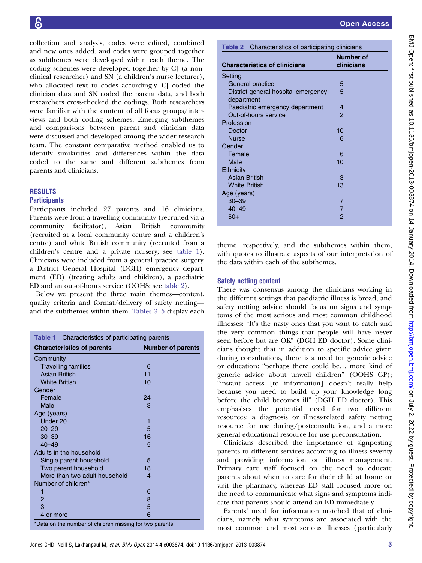collection and analysis, codes were edited, combined and new ones added, and codes were grouped together as subthemes were developed within each theme. The coding schemes were developed together by CJ (a nonclinical researcher) and SN (a children's nurse lecturer), who allocated text to codes accordingly. CJ coded the clinician data and SN coded the parent data, and both researchers cross-checked the codings. Both researchers were familiar with the content of all focus groups/interviews and both coding schemes. Emerging subthemes and comparisons between parent and clinician data were discussed and developed among the wider research team. The constant comparative method enabled us to identify similarities and differences within the data coded to the same and different subthemes from parents and clinicians.

# RESULTS

# **Participants**

Participants included 27 parents and 16 clinicians. Parents were from a travelling community (recruited via a community facilitator), Asian British community (recruited at a local community centre and a children's centre) and white British community (recruited from a children's centre and a private nursery; see table 1). Clinicians were included from a general practice surgery, a District General Hospital (DGH) emergency department (ED) (treating adults and children), a paediatric ED and an out-of-hours service (OOHS; see table 2).

Below we present the three main themes—content, quality criteria and format/delivery of safety netting and the subthemes within them. Tables 3–5 display each

| Table 1<br>Characteristics of participating parents      |                          |  |  |
|----------------------------------------------------------|--------------------------|--|--|
| <b>Characteristics of parents</b>                        | <b>Number of parents</b> |  |  |
| Community                                                |                          |  |  |
| <b>Travelling families</b>                               | 6                        |  |  |
| Asian British                                            | 11                       |  |  |
| <b>White British</b>                                     | 10                       |  |  |
| Gender                                                   |                          |  |  |
| Female                                                   | 24                       |  |  |
| Male                                                     | 3                        |  |  |
| Age (years)                                              |                          |  |  |
| Under 20                                                 | 1                        |  |  |
| $20 - 29$                                                | 5                        |  |  |
| $30 - 39$                                                | 16                       |  |  |
| $40 - 49$                                                | 5                        |  |  |
| Adults in the household                                  |                          |  |  |
| Single parent household                                  | 5                        |  |  |
| Two parent household                                     | 18                       |  |  |
| More than two adult household                            | 4                        |  |  |
| Number of children*                                      |                          |  |  |
| 1                                                        | 6                        |  |  |
| 2                                                        | 8                        |  |  |
| 3                                                        | 5                        |  |  |
| 4 or more                                                | 6                        |  |  |
| *Data on the number of children missing for two parents. |                          |  |  |

# Table 2 Characteristics of participating clinicians

| <b>Characteristics of clinicians</b> | Number of<br>clinicians |  |
|--------------------------------------|-------------------------|--|
| Setting                              |                         |  |
| General practice                     | 5                       |  |
| District general hospital emergency  | 5                       |  |
| department                           |                         |  |
| Paediatric emergency department      | $\overline{4}$          |  |
| Out-of-hours service                 | 2                       |  |
| Profession                           |                         |  |
| Doctor                               | 10                      |  |
| <b>Nurse</b>                         | 6                       |  |
| Gender                               |                         |  |
| Female                               | 6                       |  |
| Male                                 | 10                      |  |
| Ethnicity                            |                         |  |
| <b>Asian British</b>                 | 3                       |  |
| <b>White British</b>                 | 13                      |  |
| Age (years)                          |                         |  |
| $30 - 39$                            | 7                       |  |
| $40 - 49$                            | 7                       |  |
| $50+$                                | 2                       |  |

theme, respectively, and the subthemes within them, with quotes to illustrate aspects of our interpretation of the data within each of the subthemes.

#### Safety netting content

There was consensus among the clinicians working in the different settings that paediatric illness is broad, and safety netting advice should focus on signs and symptoms of the most serious and most common childhood illnesses: "It's the nasty ones that you want to catch and the very common things that people will have never seen before but are OK" (DGH ED doctor). Some clinicians thought that in addition to specific advice given during consultations, there is a need for generic advice or education: "perhaps there could be… more kind of generic advice about unwell children" (OOHS GP); "instant access [to information] doesn't really help because you need to build up your knowledge long before the child becomes ill" (DGH ED doctor). This emphasises the potential need for two different resources: a diagnosis or illness-related safety netting resource for use during/postconsultation, and a more general educational resource for use preconsultation.

Clinicians described the importance of signposting parents to different services according to illness severity and providing information on illness management. Primary care staff focused on the need to educate parents about when to care for their child at home or visit the pharmacy, whereas ED staff focused more on the need to communicate what signs and symptoms indicate that parents should attend an ED immediately.

Parents' need for information matched that of clinicians, namely what symptoms are associated with the most common and most serious illnesses (particularly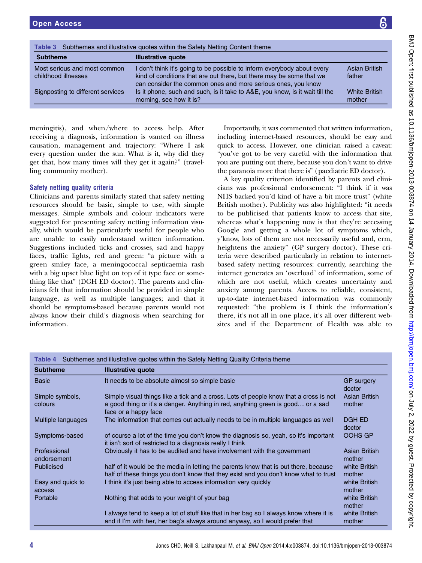| Subthemes and illustrative quotes within the Safety Netting Content theme<br>Table 3 |                                                                                                                                                                                                               |                                |  |
|--------------------------------------------------------------------------------------|---------------------------------------------------------------------------------------------------------------------------------------------------------------------------------------------------------------|--------------------------------|--|
| <b>Subtheme</b>                                                                      | <b>Illustrative quote</b>                                                                                                                                                                                     |                                |  |
| Most serious and most common<br>childhood illnesses                                  | don't think it's going to be possible to inform everybody about every<br>kind of conditions that are out there, but there may be some that we<br>can consider the common ones and more serious ones, you know | Asian British<br>father        |  |
| Signposting to different services                                                    | Is it phone, such and such, is it take to A&E, you know, is it wait till the<br>morning, see how it is?                                                                                                       | <b>White British</b><br>mother |  |

meningitis), and when/where to access help. After receiving a diagnosis, information is wanted on illness causation, management and trajectory: "Where I ask every question under the sun. What is it, why did they get that, how many times will they get it again?" (travelling community mother).

#### Safety netting quality criteria

Clinicians and parents similarly stated that safety netting resources should be basic, simple to use, with simple messages. Simple symbols and colour indicators were suggested for presenting safety netting information visually, which would be particularly useful for people who are unable to easily understand written information. Suggestions included ticks and crosses, sad and happy faces, traffic lights, red and green: "a picture with a green smiley face, a meningococcal septicaemia rash with a big upset blue light on top of it type face or something like that" (DGH ED doctor). The parents and clinicians felt that information should be provided in simple language, as well as multiple languages; and that it should be symptoms-based because parents would not always know their child's diagnosis when searching for information.

Importantly, it was commented that written information, including internet-based resources, should be easy and quick to access. However, one clinician raised a caveat: "you've got to be very careful with the information that you are putting out there, because you don't want to drive the paranoia more that there is" (paediatric ED doctor).

A key quality criterion identified by parents and clinicians was professional endorsement: "I think if it was NHS backed you'd kind of have a bit more trust" (white British mother). Publicity was also highlighted: "it needs to be publicised that patients know to access that site, whereas what's happening now is that they're accessing Google and getting a whole lot of symptoms which, y'know, lots of them are not necessarily useful and, erm, heightens the anxiety" (GP surgery doctor). These criteria were described particularly in relation to internetbased safety netting resources: currently, searching the internet generates an 'overload' of information, some of which are not useful, which creates uncertainty and anxiety among parents. Access to reliable, consistent, up-to-date internet-based information was commonly requested: "the problem is I think the information's there, it's not all in one place, it's all over different websites and if the Department of Health was able to

| Subthemes and illustrative quotes within the Safety Netting Quality Criteria theme<br>Table 4 |                                                                                                                                                                                                  |                                |
|-----------------------------------------------------------------------------------------------|--------------------------------------------------------------------------------------------------------------------------------------------------------------------------------------------------|--------------------------------|
| <b>Subtheme</b>                                                                               | <b>Illustrative quote</b>                                                                                                                                                                        |                                |
| <b>Basic</b>                                                                                  | It needs to be absolute almost so simple basic                                                                                                                                                   | <b>GP</b> surgery<br>doctor    |
| Simple symbols,<br>colours                                                                    | Simple visual things like a tick and a cross. Lots of people know that a cross is not<br>a good thing or it's a danger. Anything in red, anything green is good or a sad<br>face or a happy face | <b>Asian British</b><br>mother |
| Multiple languages                                                                            | The information that comes out actually needs to be in multiple languages as well                                                                                                                | DGH ED<br>doctor               |
| Symptoms-based                                                                                | of course a lot of the time you don't know the diagnosis so, yeah, so it's important<br>it isn't sort of restricted to a diagnosis really I think                                                | OOHS GP                        |
| Professional<br>endorsement                                                                   | Obviously it has to be audited and have involvement with the government                                                                                                                          | <b>Asian British</b><br>mother |
| Publicised                                                                                    | half of it would be the media in letting the parents know that is out there, because<br>half of these things you don't know that they exist and you don't know what to trust                     | white British<br>mother        |
| Easy and quick to<br>access                                                                   | I think it's just being able to access information very quickly                                                                                                                                  | white British<br>mother        |
| Portable                                                                                      | Nothing that adds to your weight of your bag                                                                                                                                                     | white British<br>mother        |
|                                                                                               | I always tend to keep a lot of stuff like that in her bag so I always know where it is<br>and if I'm with her, her bag's always around anyway, so I would prefer that                            | white British<br>mother        |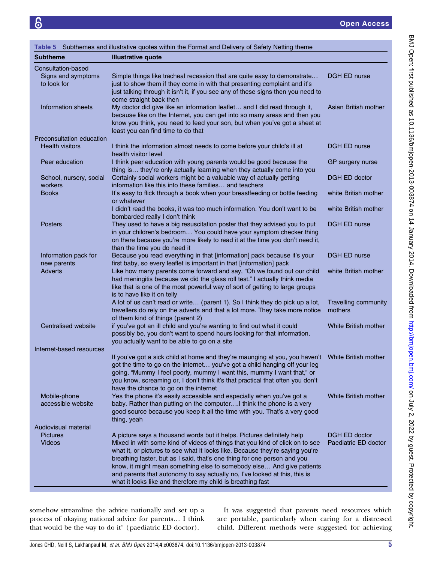| Table 5 Subthemes and illustrative quotes within the Format and Delivery of Safety Netting theme |                                                                                                                                                                                                                                                                                                                                                                                                                                                                                                                                           |                                              |  |  |
|--------------------------------------------------------------------------------------------------|-------------------------------------------------------------------------------------------------------------------------------------------------------------------------------------------------------------------------------------------------------------------------------------------------------------------------------------------------------------------------------------------------------------------------------------------------------------------------------------------------------------------------------------------|----------------------------------------------|--|--|
| <b>Subtheme</b>                                                                                  | <b>Illustrative quote</b>                                                                                                                                                                                                                                                                                                                                                                                                                                                                                                                 |                                              |  |  |
| Consultation-based<br>Signs and symptoms<br>to look for                                          | Simple things like tracheal recession that are quite easy to demonstrate<br>just to show them if they come in with that presenting complaint and it's<br>just talking through it isn't it, if you see any of these signs then you need to<br>come straight back then                                                                                                                                                                                                                                                                      | DGH ED nurse                                 |  |  |
| Information sheets                                                                               | My doctor did give like an information leaflet and I did read through it,<br>because like on the Internet, you can get into so many areas and then you<br>know you think, you need to feed your son, but when you've got a sheet at<br>least you can find time to do that                                                                                                                                                                                                                                                                 | Asian British mother                         |  |  |
| Preconsultation education                                                                        |                                                                                                                                                                                                                                                                                                                                                                                                                                                                                                                                           |                                              |  |  |
| <b>Health visitors</b>                                                                           | I think the information almost needs to come before your child's ill at<br>health visitor level                                                                                                                                                                                                                                                                                                                                                                                                                                           | DGH ED nurse                                 |  |  |
| Peer education                                                                                   | I think peer education with young parents would be good because the<br>thing is they're only actually learning when they actually come into you                                                                                                                                                                                                                                                                                                                                                                                           | GP surgery nurse                             |  |  |
| School, nursery, social<br>workers                                                               | Certainly social workers might be a valuable way of actually getting<br>information like this into these families and teachers                                                                                                                                                                                                                                                                                                                                                                                                            | DGH ED doctor                                |  |  |
| <b>Books</b>                                                                                     | It's easy to flick through a book when your breastfeeding or bottle feeding<br>or whatever                                                                                                                                                                                                                                                                                                                                                                                                                                                | white British mother                         |  |  |
|                                                                                                  | I didn't read the books, it was too much information. You don't want to be<br>bombarded really I don't think                                                                                                                                                                                                                                                                                                                                                                                                                              | white British mother                         |  |  |
| <b>Posters</b>                                                                                   | They used to have a big resuscitation poster that they advised you to put<br>in your children's bedroom You could have your symptom checker thing<br>on there because you're more likely to read it at the time you don't need it,<br>than the time you do need it                                                                                                                                                                                                                                                                        | DGH ED nurse                                 |  |  |
| Information pack for<br>new parents                                                              | Because you read everything in that [information] pack because it's your<br>first baby, so every leaflet is important in that [information] pack                                                                                                                                                                                                                                                                                                                                                                                          | <b>DGH ED nurse</b>                          |  |  |
| <b>Adverts</b>                                                                                   | Like how many parents come forward and say, "Oh we found out our child<br>had meningitis because we did the glass roll test." I actually think media<br>like that is one of the most powerful way of sort of getting to large groups<br>is to have like it on telly                                                                                                                                                                                                                                                                       | white British mother                         |  |  |
|                                                                                                  | A lot of us can't read or write (parent 1). So I think they do pick up a lot,<br>travellers do rely on the adverts and that a lot more. They take more notice<br>of them kind of things (parent 2)                                                                                                                                                                                                                                                                                                                                        | Travelling community<br>mothers              |  |  |
| Centralised website                                                                              | if you've got an ill child and you're wanting to find out what it could<br>possibly be, you don't want to spend hours looking for that information,<br>you actually want to be able to go on a site                                                                                                                                                                                                                                                                                                                                       | <b>White British mother</b>                  |  |  |
| Internet-based resources                                                                         |                                                                                                                                                                                                                                                                                                                                                                                                                                                                                                                                           |                                              |  |  |
|                                                                                                  | If you've got a sick child at home and they're maunging at you, you haven't  White British mother<br>got the time to go on the internet you've got a child hanging off your leg<br>going, "Mummy I feel poorly, mummy I want this, mummy I want that," or<br>you know, screaming or, I don't think it's that practical that often you don't<br>have the chance to go on the internet                                                                                                                                                      |                                              |  |  |
| Mobile-phone<br>accessible website                                                               | Yes the phone it's easily accessible and especially when you've got a<br>baby. Rather than putting on the computerI think the phone is a very<br>good source because you keep it all the time with you. That's a very good<br>thing, yeah                                                                                                                                                                                                                                                                                                 | White British mother                         |  |  |
| Audiovisual material                                                                             |                                                                                                                                                                                                                                                                                                                                                                                                                                                                                                                                           |                                              |  |  |
| <b>Pictures</b><br><b>Videos</b>                                                                 | A picture says a thousand words but it helps. Pictures definitely help<br>Mixed in with some kind of videos of things that you kind of click on to see<br>what it, or pictures to see what it looks like. Because they're saying you're<br>breathing faster, but as I said, that's one thing for one person and you<br>know, it might mean something else to somebody else And give patients<br>and parents that autonomy to say actually no, I've looked at this, this is<br>what it looks like and therefore my child is breathing fast | <b>DGH ED doctor</b><br>Paediatric ED doctor |  |  |

somehow streamline the advice nationally and set up a process of okaying national advice for parents… I think that would be the way to do it" (paediatric ED doctor).

It was suggested that parents need resources which are portable, particularly when caring for a distressed child. Different methods were suggested for achieving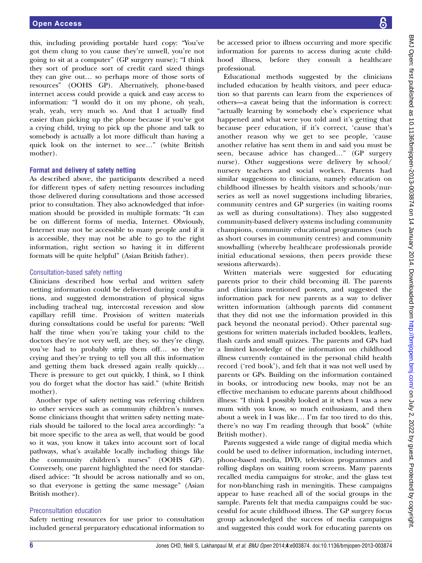this, including providing portable hard copy: "You've got them clung to you cause they're unwell, you're not going to sit at a computer" (GP surgery nurse); "I think they sort of produce sort of credit card sized things they can give out… so perhaps more of those sorts of resources" (OOHS GP). Alternatively, phone-based internet access could provide a quick and easy access to information: "I would do it on my phone, oh yeah, yeah, yeah, very much so. And that I actually find easier than picking up the phone because if you've got a crying child, trying to pick up the phone and talk to somebody is actually a lot more difficult than having a quick look on the internet to see…" (white British mother).

#### Format and delivery of safety netting

As described above, the participants described a need for different types of safety netting resources including those delivered during consultations and those accessed prior to consultation. They also acknowledged that information should be provided in multiple formats: "It can be on different forms of media, Internet. Obviously, Internet may not be accessible to many people and if it is accessible, they may not be able to go to the right information, right section so having it in different formats will be quite helpful" (Asian British father).

#### Consultation-based safety netting

Clinicians described how verbal and written safety netting information could be delivered during consultations, and suggested demonstration of physical signs including tracheal tug, intercostal recession and slow capillary refill time. Provision of written materials during consultations could be useful for parents: "Well half the time when you're taking your child to the doctors they're not very well, are they, so they're clingy, you've had to probably strip them off… so they're crying and they're trying to tell you all this information and getting them back dressed again really quickly… There is pressure to get out quickly, I think, so I think you do forget what the doctor has said." (white British mother).

Another type of safety netting was referring children to other services such as community children's nurses. Some clinicians thought that written safety netting materials should be tailored to the local area accordingly: "a bit more specific to the area as well, that would be good so it was, you know it takes into account sort of local pathways, what's available locally including things like the community children's nurses" (OOHS GP). Conversely, one parent highlighted the need for standardised advice: "It should be across nationally and so on, so that everyone is getting the same message" (Asian British mother).

#### Preconsultation education

Safety netting resources for use prior to consultation included general preparatory educational information to

be accessed prior to illness occurring and more specific information for parents to access during acute childhood illness, before they consult a healthcare professional.

Educational methods suggested by the clinicians included education by health visitors, and peer education so that parents can learn from the experiences of others—a caveat being that the information is correct: "actually learning by somebody else's experience what happened and what were you told and it's getting that because peer education, if it's correct, 'cause that's another reason why we get to see people, 'cause another relative has sent them in and said you must be seen, because advice has changed…" (GP surgery nurse). Other suggestions were delivery by school/ nursery teachers and social workers. Parents had similar suggestions to clinicians, namely education on childhood illnesses by health visitors and schools/nurseries as well as novel suggestions including libraries, community centres and GP surgeries (in waiting rooms as well as during consultations). They also suggested community-based delivery systems including community champions, community educational programmes (such as short courses in community centres) and community snowballing (whereby healthcare professionals provide initial educational sessions, then peers provide these sessions afterwards).

Written materials were suggested for educating parents prior to their child becoming ill. The parents and clinicians mentioned posters, and suggested the information pack for new parents as a way to deliver written information (although parents did comment that they did not use the information provided in this pack beyond the neonatal period). Other parental suggestions for written materials included booklets, leaflets, flash cards and small quizzes. The parents and GPs had a limited knowledge of the information on childhood illness currently contained in the personal child health record ('red book'), and felt that it was not well used by parents or GPs. Building on the information contained in books, or introducing new books, may not be an effective mechanism to educate parents about childhood illness: "I think I possibly looked at it when I was a new mum with you know, so much enthusiasm, and then about a week in I was like… I'm far too tired to do this, there's no way I'm reading through that book" (white British mother).

Parents suggested a wide range of digital media which could be used to deliver information, including internet, phone-based media, DVD, television programmes and rolling displays on waiting room screens. Many parents recalled media campaigns for stroke, and the glass test for non-blanching rash in meningitis. These campaigns appear to have reached all of the social groups in the sample. Parents felt that media campaigns could be successful for acute childhood illness. The GP surgery focus group acknowledged the success of media campaigns and suggested this could work for educating parents on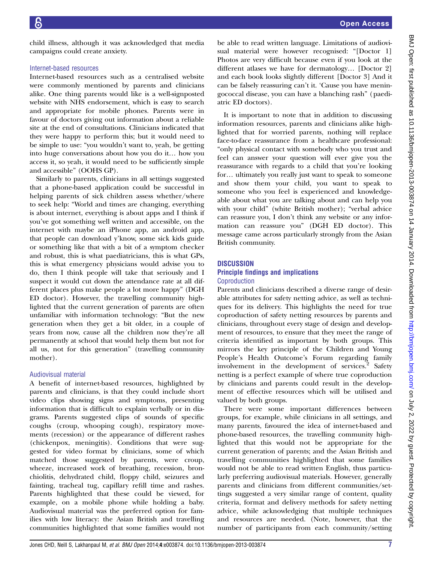Open Access

child illness, although it was acknowledged that media campaigns could create anxiety.

#### Internet-based resources

Internet-based resources such as a centralised website were commonly mentioned by parents and clinicians alike. One thing parents would like is a well-signposted website with NHS endorsement, which is easy to search and appropriate for mobile phones. Parents were in favour of doctors giving out information about a reliable site at the end of consultations. Clinicians indicated that they were happy to perform this; but it would need to be simple to use: "you wouldn't want to, yeah, be getting into huge conversations about how you do it… how you access it, so yeah, it would need to be sufficiently simple and accessible" (OOHS GP).

Similarly to parents, clinicians in all settings suggested that a phone-based application could be successful in helping parents of sick children assess whether/where to seek help: "World and times are changing, everything is about internet, everything is about apps and I think if you've got something well written and accessible, on the internet with maybe an iPhone app, an android app, that people can download y'know, some sick kids guide or something like that with a bit of a symptom checker and robust, this is what paediatricians, this is what GPs, this is what emergency physicians would advise you to do, then I think people will take that seriously and I suspect it would cut down the attendance rate at all different places plus make people a lot more happy" (DGH ED doctor). However, the travelling community highlighted that the current generation of parents are often unfamiliar with information technology: "But the new generation when they get a bit older, in a couple of years from now, cause all the children now they're all permanently at school that would help them but not for all us, not for this generation" (travelling community mother).

#### Audiovisual material

A benefit of internet-based resources, highlighted by parents and clinicians, is that they could include short video clips showing signs and symptoms, presenting information that is difficult to explain verbally or in diagrams. Parents suggested clips of sounds of specific coughs (croup, whooping cough), respiratory movements (recession) or the appearance of different rashes (chickenpox, meningitis). Conditions that were suggested for video format by clinicians, some of which matched those suggested by parents, were croup, wheeze, increased work of breathing, recession, bronchiolitis, dehydrated child, floppy child, seizures and fainting, tracheal tug, capillary refill time and rashes. Parents highlighted that these could be viewed, for example, on a mobile phone while holding a baby. Audiovisual material was the preferred option for families with low literacy: the Asian British and travelling communities highlighted that some families would not

be able to read written language. Limitations of audiovisual material were however recognised: "[Doctor 1] Photos are very difficult because even if you look at the different atlases we have for dermatology… [Doctor 2] and each book looks slightly different [Doctor 3] And it can be falsely reassuring can't it. 'Cause you have meningococcal disease, you can have a blanching rash" (paediatric ED doctors).

It is important to note that in addition to discussing information resources, parents and clinicians alike highlighted that for worried parents, nothing will replace face-to-face reassurance from a healthcare professional: "only physical contact with somebody who you trust and feel can answer your question will ever give you the reassurance with regards to a child that you're looking for… ultimately you really just want to speak to someone and show them your child, you want to speak to someone who you feel is experienced and knowledgeable about what you are talking about and can help you with your child" (white British mother); "verbal advice can reassure you, I don't think any website or any information can reassure you" (DGH ED doctor). This message came across particularly strongly from the Asian British community.

#### **DISCUSSION**

#### Principle findings and implications Coproduction

Parents and clinicians described a diverse range of desirable attributes for safety netting advice, as well as techniques for its delivery. This highlights the need for true coproduction of safety netting resources by parents and clinicians, throughout every stage of design and development of resources, to ensure that they meet the range of criteria identified as important by both groups. This mirrors the key principle of the Children and Young People's Health Outcome's Forum regarding family involvement in the development of services.<sup>2</sup> Safety netting is a perfect example of where true coproduction by clinicians and parents could result in the development of effective resources which will be utilised and valued by both groups.

There were some important differences between groups, for example, while clinicians in all settings, and many parents, favoured the idea of internet-based and phone-based resources, the travelling community highlighted that this would not be appropriate for the current generation of parents; and the Asian British and travelling communities highlighted that some families would not be able to read written English, thus particularly preferring audiovisual materials. However, generally parents and clinicians from different communities/settings suggested a very similar range of content, quality criteria, format and delivery methods for safety netting advice, while acknowledging that multiple techniques and resources are needed. (Note, however, that the number of participants from each community/setting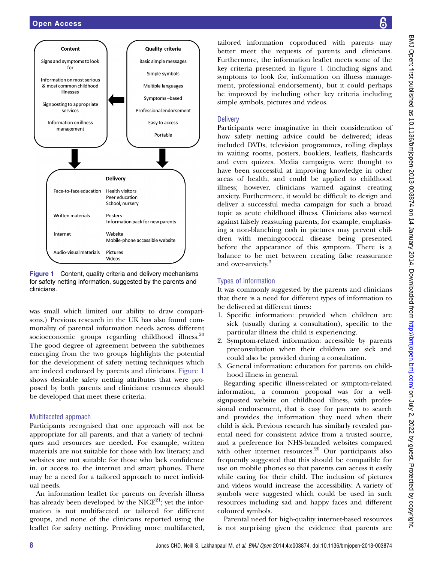

Figure 1 Content, quality criteria and delivery mechanisms for safety netting information, suggested by the parents and clinicians.

was small which limited our ability to draw comparisons.) Previous research in the UK has also found commonality of parental information needs across different socioeconomic groups regarding childhood illness.<sup>20</sup> The good degree of agreement between the subthemes emerging from the two groups highlights the potential for the development of safety netting techniques which are indeed endorsed by parents and clinicians. Figure 1 shows desirable safety netting attributes that were proposed by both parents and clinicians: resources should be developed that meet these criteria.

#### Multifaceted approach

Participants recognised that one approach will not be appropriate for all parents, and that a variety of techniques and resources are needed. For example, written materials are not suitable for those with low literacy; and websites are not suitable for those who lack confidence in, or access to, the internet and smart phones. There may be a need for a tailored approach to meet individual needs.

An information leaflet for parents on feverish illness has already been developed by the  $NICE<sup>21</sup>$ ; yet the information is not multifaceted or tailored for different groups, and none of the clinicians reported using the leaflet for safety netting. Providing more multifaceted,

tailored information coproduced with parents may better meet the requests of parents and clinicians. Furthermore, the information leaflet meets some of the key criteria presented in figure 1 (including signs and symptoms to look for, information on illness management, professional endorsement), but it could perhaps be improved by including other key criteria including simple symbols, pictures and videos.

# **Delivery**

Participants were imaginative in their consideration of how safety netting advice could be delivered; ideas included DVDs, television programmes, rolling displays in waiting rooms, posters, booklets, leaflets, flashcards and even quizzes. Media campaigns were thought to have been successful at improving knowledge in other areas of health, and could be applied to childhood illness; however, clinicians warned against creating anxiety. Furthermore, it would be difficult to design and deliver a successful media campaign for such a broad topic as acute childhood illness. Clinicians also warned against falsely reassuring parents; for example, emphasising a non-blanching rash in pictures may prevent children with meningococcal disease being presented before the appearance of this symptom. There is a balance to be met between creating false reassurance and over-anxiety.3

# Types of information

It was commonly suggested by the parents and clinicians that there is a need for different types of information to be delivered at different times:

- 1. Specific information: provided when children are sick (usually during a consultation), specific to the particular illness the child is experiencing.
- 2. Symptom-related information: accessible by parents preconsultation when their children are sick and could also be provided during a consultation.
- 3. General information: education for parents on childhood illness in general.

Regarding specific illness-related or symptom-related information, a common proposal was for a wellsignposted website on childhood illness, with professional endorsement, that is easy for parents to search and provides the information they need when their child is sick. Previous research has similarly revealed parental need for consistent advice from a trusted source, and a preference for NHS-branded websites compared with other internet resources.<sup>20</sup> Our participants also frequently suggested that this should be compatible for use on mobile phones so that parents can access it easily while caring for their child. The inclusion of pictures and videos would increase the accessibility. A variety of symbols were suggested which could be used in such resources including sad and happy faces and different coloured symbols.

Parental need for high-quality internet-based resources is not surprising given the evidence that parents are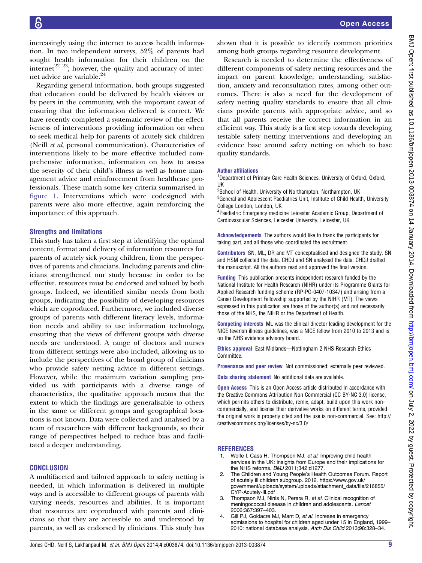increasingly using the internet to access health information. In two independent surveys, 52% of parents had sought health information for their children on the internet<sup>22 23</sup>; however, the quality and accuracy of internet advice are variable.<sup>24</sup>

Regarding general information, both groups suggested that education could be delivered by health visitors or by peers in the community, with the important caveat of ensuring that the information delivered is correct. We have recently completed a systematic review of the effectiveness of interventions providing information on when to seek medical help for parents of acutely sick children (Neill et al, personal communication). Characteristics of interventions likely to be more effective included comprehensive information, information on how to assess the severity of their child's illness as well as home management advice and reinforcement from healthcare professionals. These match some key criteria summarised in figure 1. Interventions which were codesigned with parents were also more effective, again reinforcing the importance of this approach.

#### Strengths and limitations

This study has taken a first step at identifying the optimal content, format and delivery of information resources for parents of acutely sick young children, from the perspectives of parents and clinicians. Including parents and clinicians strengthened our study because in order to be effective, resources must be endorsed and valued by both groups. Indeed, we identified similar needs from both groups, indicating the possibility of developing resources which are coproduced. Furthermore, we included diverse groups of parents with different literacy levels, information needs and ability to use information technology, ensuring that the views of different groups with diverse needs are understood. A range of doctors and nurses from different settings were also included, allowing us to include the perspectives of the broad group of clinicians who provide safety netting advice in different settings. However, while the maximum variation sampling provided us with participants with a diverse range of characteristics, the qualitative approach means that the extent to which the findings are generalisable to others in the same or different groups and geographical locations is not known. Data were collected and analysed by a team of researchers with different backgrounds, so their range of perspectives helped to reduce bias and facilitated a deeper understanding.

#### **CONCLUSION**

A multifaceted and tailored approach to safety netting is needed, in which information is delivered in multiple ways and is accessible to different groups of parents with varying needs, resources and abilities. It is important that resources are coproduced with parents and clinicians so that they are accessible to and understood by parents, as well as endorsed by clinicians. This study has

Research is needed to determine the effectiveness of different components of safety netting resources and the impact on parent knowledge, understanding, satisfaction, anxiety and reconsultation rates, among other outcomes. There is also a need for the development of safety netting quality standards to ensure that all clinicians provide parents with appropriate advice, and so that all parents receive the correct information in an efficient way. This study is a first step towards developing testable safety netting interventions and developing an evidence base around safety netting on which to base quality standards.

#### Author affiliations

<sup>1</sup>Department of Primary Care Health Sciences, University of Oxford, Oxford, UK

<sup>2</sup>School of Health, University of Northampton, Northampton, UK <sup>3</sup>General and Adolescent Paediatrics Unit, Institute of Child Health, University College London, London, UK

4 Paediatric Emergency medicine Leicester Academic Group, Department of Cardiovascular Sciences, Leicester University, Leicester, UK

Acknowledgements The authors would like to thank the participants for taking part, and all those who coordinated the recruitment.

Contributors SN, ML, DR and MT conceptualised and designed the study. SN and HSM collected the data. CHDJ and SN analysed the data. CHDJ drafted the manuscript. All the authors read and approved the final version.

Funding This publication presents independent research funded by the National Institute for Health Research (NIHR) under its Programme Grants for Applied Research funding scheme (RP-PG-0407-10347) and arising from a Career Development Fellowship supported by the NIHR (MT). The views expressed in this publication are those of the author(s) and not necessarily those of the NHS, the NIHR or the Department of Health.

Competing interests ML was the clinical director leading development for the NICE feverish illness guidelines, was a NICE fellow from 2010 to 2013 and is on the NHS evidence advisory board.

Ethics approval East Midlands—Nottingham 2 NHS Research Ethics Committee.

Provenance and peer review Not commissioned; externally peer reviewed.

Data sharing statement No additional data are available.

**Open Access** This is an Open Access article distributed in accordance with the Creative Commons Attribution Non Commercial (CC BY-NC 3.0) license, which permits others to distribute, remix, adapt, build upon this work noncommercially, and license their derivative works on different terms, provided the original work is properly cited and the use is non-commercial. See: [http://](http://creativecommons.org/licenses/by-nc/3.0/) [creativecommons.org/licenses/by-nc/3.0/](http://creativecommons.org/licenses/by-nc/3.0/)

#### REFERENCES

- 1. Wolfe I, Cass H, Thompson MJ, et al. Improving child health services in the UK: insights from Europe and their implications for the NHS reforms. BMJ 2011;342:d1277.
- 2. The Children and Young People's Health Outcomes Forum. Report of acutely ill children subgroup. 2012. [https://www.gov.uk/](https://www.gov.uk/government/uploads/system/uploads/attachment_data/file/216855/CYP-Acutely-Ill.pdf) [government/uploads/system/uploads/attachment\\_data/file/216855/](https://www.gov.uk/government/uploads/system/uploads/attachment_data/file/216855/CYP-Acutely-Ill.pdf) [CYP-Acutely-Ill.pdf](https://www.gov.uk/government/uploads/system/uploads/attachment_data/file/216855/CYP-Acutely-Ill.pdf)
- 3. Thompson MJ, Ninis N, Perera R, et al. Clinical recognition of meningococcal disease in children and adolescents. Lancet 2006;367:397–403.
- 4. Gill PJ, Goldacre MJ, Mant D, et al. Increase in emergency admissions to hospital for children aged under 15 in England, 1999– 2010: national database analysis. Arch Dis Child 2013;98:328–34.